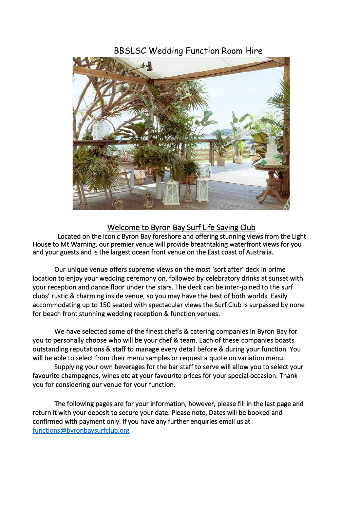# BBSLSC Wedding Function Room Hire



# Welcome to Byron Bay Surf Life Saving Club

 Located on the iconic Byron Bay foreshore and offering stunning views from the Light House to Mt Warning, our premier venue will provide breathtaking waterfront views for you and your guests and is the largest ocean front venue on the East coast of Australia.

Our unique venue offers supreme views on the most 'sort after' deck in prime location to enjoy your wedding ceremony on, followed by celebratory drinks at sunset with your reception and dance floor under the stars. The deck can be inter-joined to the surf clubs' rustic & charming inside venue, so you may have the best of both worlds. Easily accommodating up to 150 seated with spectacular views the Surf Club is surpassed by none for beach front stunning wedding reception & function venues.

We have selected some of the finest chef's & catering companies in Byron Bay for you to personally choose who will be your chef & team. Each of these companies boasts outstanding reputations & staff to manage every detail before & during your function. You will be able to select from their menu samples or request a quote on variation menu.

Supplying your own beverages for the bar staff to serve will allow you to select your favourite champagnes, wines etc at your favourite prices for your special occasion. Thank you for considering our venue for your function.

The following pages are for your information, however, please fill in the last page and return it with your deposit to secure your date. Please note, Dates will be booked and confirmed with payment only. If you have any further enquiries email us at [functions@byronbaysurfclub.org](mailto:functions@byronbaysurfclub.org)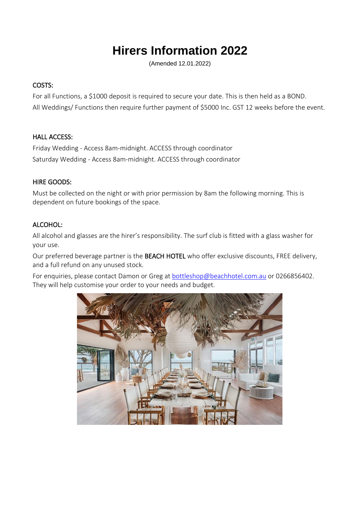# **Hirers Information 2022**

(Amended 12.01.2022)

## COSTS:

For all Functions, a \$1000 deposit is required to secure your date. This is then held as a BOND. All Weddings/ Functions then require further payment of \$5000 Inc. GST 12 weeks before the event.

#### HALL ACCESS:

Friday Wedding - Access 8am-midnight. ACCESS through coordinator Saturday Wedding - Access 8am-midnight. ACCESS through coordinator

#### HIRE GOODS:

Must be collected on the night or with prior permission by 8am the following morning. This is dependent on future bookings of the space.

#### ALCOHOL:

All alcohol and glasses are the hirer's responsibility. The surf club is fitted with a glass washer for your use.

Our preferred beverage partner is the BEACH HOTEL who offer exclusive discounts, FREE delivery, and a full refund on any unused stock.

For enquiries, please contact Damon or Greg at [bottleshop@beachhotel.com.au](mailto:bottleshop@beachhotel.com.au) or 0266856402. They will help customise your order to your needs and budget.

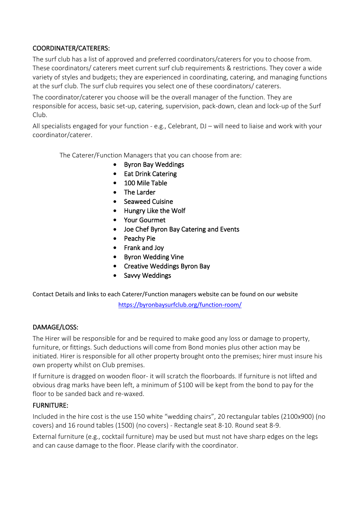## COORDINATER/CATERERS:

The surf club has a list of approved and preferred coordinators/caterers for you to choose from. These coordinators/ caterers meet current surf club requirements & restrictions. They cover a wide variety of styles and budgets; they are experienced in coordinating, catering, and managing functions at the surf club. The surf club requires you select one of these coordinators/ caterers.

The coordinator/caterer you choose will be the overall manager of the function. They are responsible for access, basic set-up, catering, supervision, pack-down, clean and lock-up of the Surf Club.

All specialists engaged for your function - e.g., Celebrant, DJ – will need to liaise and work with your coordinator/caterer.

The Caterer/Function Managers that you can choose from are:

- Byron Bay Weddings
- Eat Drink Catering
- 100 Mile Table
- The Larder
- Seaweed Cuisine
- Hungry Like the Wolf
- Your Gourmet
- Joe Chef Byron Bay Catering and Events
- Peachy Pie
- Frank and Joy
- Byron Wedding Vine
- Creative Weddings Byron Bay
- Savvy Weddings

Contact Details and links to each Caterer/Function managers website can be found on our website

<https://byronbaysurfclub.org/function-room/>

#### DAMAGE/LOSS:

The Hirer will be responsible for and be required to make good any loss or damage to property, furniture, or fittings. Such deductions will come from Bond monies plus other action may be initiated. Hirer is responsible for all other property brought onto the premises; hirer must insure his own property whilst on Club premises.

If furniture is dragged on wooden floor- it will scratch the floorboards. If furniture is not lifted and obvious drag marks have been left, a minimum of \$100 will be kept from the bond to pay for the floor to be sanded back and re-waxed.

#### FURNITURE:

Included in the hire cost is the use 150 white "wedding chairs", 20 rectangular tables (2100x900) (no covers) and 16 round tables (1500) (no covers) - Rectangle seat 8-10. Round seat 8-9.

External furniture (e.g., cocktail furniture) may be used but must not have sharp edges on the legs and can cause damage to the floor. Please clarify with the coordinator.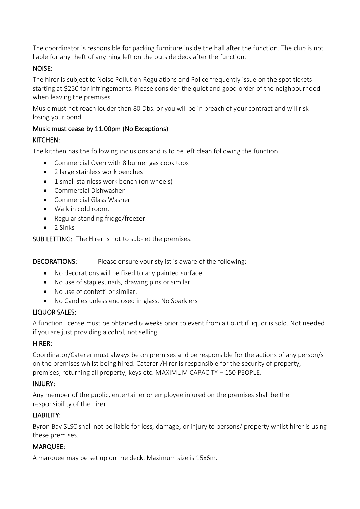The coordinator is responsible for packing furniture inside the hall after the function. The club is not liable for any theft of anything left on the outside deck after the function.

## NOISE:

The hirer is subject to Noise Pollution Regulations and Police frequently issue on the spot tickets starting at \$250 for infringements. Please consider the quiet and good order of the neighbourhood when leaving the premises.

Music must not reach louder than 80 Dbs. or you will be in breach of your contract and will risk losing your bond.

## Music must cease by 11.00pm (No Exceptions)

## KITCHEN:

The kitchen has the following inclusions and is to be left clean following the function.

- Commercial Oven with 8 burner gas cook tops
- 2 large stainless work benches
- 1 small stainless work bench (on wheels)
- Commercial Dishwasher
- Commercial Glass Washer
- Walk in cold room.
- Regular standing fridge/freezer
- 2 Sinks

SUB LETTING: The Hirer is not to sub-let the premises.

DECORATIONS: Please ensure your stylist is aware of the following:

- No decorations will be fixed to any painted surface.
- No use of staples, nails, drawing pins or similar.
- No use of confetti or similar.
- No Candles unless enclosed in glass. No Sparklers

# LIQUOR SALES:

A function license must be obtained 6 weeks prior to event from a Court if liquor is sold. Not needed if you are just providing alcohol, not selling.

## HIRER:

Coordinator/Caterer must always be on premises and be responsible for the actions of any person/s on the premises whilst being hired. Caterer /Hirer is responsible for the security of property, premises, returning all property, keys etc. MAXIMUM CAPACITY – 150 PEOPLE.

# INJURY:

Any member of the public, entertainer or employee injured on the premises shall be the responsibility of the hirer.

## LIABILITY:

Byron Bay SLSC shall not be liable for loss, damage, or injury to persons/ property whilst hirer is using these premises.

# MARQUEE:

A marquee may be set up on the deck. Maximum size is 15x6m.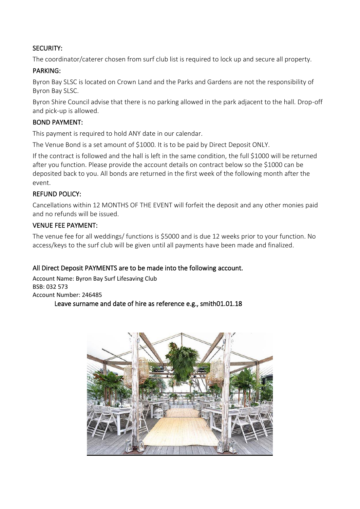## SECURITY:

The coordinator/caterer chosen from surf club list is required to lock up and secure all property.

## PARKING:

Byron Bay SLSC is located on Crown Land and the Parks and Gardens are not the responsibility of Byron Bay SLSC.

Byron Shire Council advise that there is no parking allowed in the park adjacent to the hall. Drop-off and pick-up is allowed.

## BOND PAYMENT:

This payment is required to hold ANY date in our calendar.

The Venue Bond is a set amount of \$1000. It is to be paid by Direct Deposit ONLY.

If the contract is followed and the hall is left in the same condition, the full \$1000 will be returned after you function. Please provide the account details on contract below so the \$1000 can be deposited back to you. All bonds are returned in the first week of the following month after the event.

#### REFUND POLICY:

Cancellations within 12 MONTHS OF THE EVENT will forfeit the deposit and any other monies paid and no refunds will be issued.

#### VENUE FEE PAYMENT:

The venue fee for all weddings/ functions is \$5000 and is due 12 weeks prior to your function. No access/keys to the surf club will be given until all payments have been made and finalized.

## All Direct Deposit PAYMENTS are to be made into the following account.

Account Name: Byron Bay Surf Lifesaving Club BSB: 032 573 Account Number: 246485 Leave surname and date of hire as reference e.g., smith01.01.18

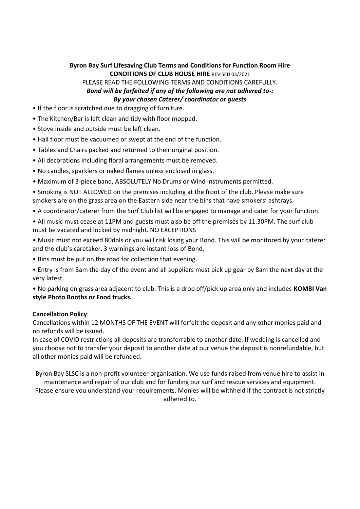#### **Byron Bay Surf Lifesaving Club Terms and Conditions for Function Room Hire CONDITIONS OF CLUB HOUSE HIRE** REVISED 03/2021

PLEASE READ THE FOLLOWING TERMS AND CONDITIONS CAREFULLY. *Bond will be forfeited if any of the following are not adhered to-: By your chosen Caterer/ coordinator or guests*

- If the floor is scratched due to dragging of furniture.
- The Kitchen/Bar is left clean and tidy with floor mopped.
- Stove inside and outside must be left clean.
- Hall floor must be vacuumed or swept at the end of the function.
- Tables and Chairs packed and returned to their original position.
- All decorations including floral arrangements must be removed.
- No candles, sparklers or naked flames unless enclosed in glass.
- Maximum of 3-piece band, ABSOLUTELY No Drums or Wind Instruments permitted.
- Smoking is NOT ALLOWED on the premises including at the front of the club. Please make sure smokers are on the grass area on the Eastern side near the bins that have smokers' ashtrays.
- A coordinator/caterer from the Surf Club list will be engaged to manage and cater for your function.
- All music must cease at 11PM and guests must also be off the premises by 11.30PM. The surf club must be vacated and locked by midnight. NO EXCEPTIONS
- Music must not exceed 80dbls or you will risk losing your Bond. This will be monitored by your caterer and the club's caretaker. 3 warnings are instant loss of Bond.
- Bins must be put on the road for collection that evening.
- Entry is from 8am the day of the event and all suppliers must pick up gear by 8am the next day at the very latest.

• No parking on grass area adjacent to club. This is a drop off/pick up area only and includes **KOMBI Van style Photo Booths or Food trucks.**

#### **Cancellation Policy**

Cancellations within 12 MONTHS OF THE EVENT will forfeit the deposit and any other monies paid and no refunds will be issued.

In case of COVID restrictions all deposits are transferrable to another date. If wedding is cancelled and you choose not to transfer your deposit to another date at our venue the deposit is nonrefundable, but all other monies paid will be refunded.

Byron Bay SLSC is a non-profit volunteer organisation. We use funds raised from venue hire to assist in maintenance and repair of our club and for funding our surf and rescue services and equipment.

Please ensure you understand your requirements. Monies will be withheld if the contract is not strictly adhered to.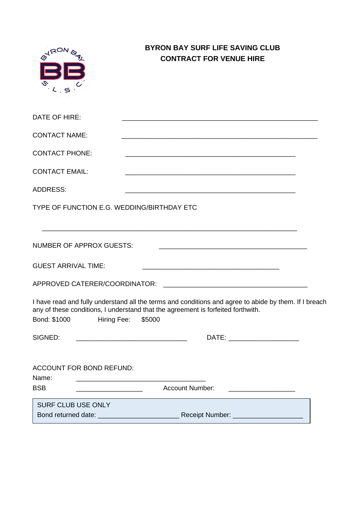| <b>HRON</b>                | <b>BYRON BAY SURF LIFE SAVING CLUB</b><br><b>CONTRACT FOR VENUE HIRE</b>                                                                                                                                                                                                                  |  |
|----------------------------|-------------------------------------------------------------------------------------------------------------------------------------------------------------------------------------------------------------------------------------------------------------------------------------------|--|
| DATE OF HIRE:              |                                                                                                                                                                                                                                                                                           |  |
| <b>CONTACT NAME:</b>       |                                                                                                                                                                                                                                                                                           |  |
| <b>CONTACT PHONE:</b>      |                                                                                                                                                                                                                                                                                           |  |
| <b>CONTACT EMAIL:</b>      | <u> 1989 - Jan James James, martin de ferror eta bat error eta bat error eta bat error eta bat error eta bat err</u>                                                                                                                                                                      |  |
| <b>ADDRESS:</b>            | <u> 2000 - Andrea Andrew Maria Maria Maria Maria Maria Maria Maria Maria Maria Maria Maria Maria Maria Maria Ma</u>                                                                                                                                                                       |  |
|                            | TYPE OF FUNCTION E.G. WEDDING/BIRTHDAY ETC                                                                                                                                                                                                                                                |  |
|                            | <b>NUMBER OF APPROX GUESTS:</b>                                                                                                                                                                                                                                                           |  |
| <b>GUEST ARRIVAL TIME:</b> |                                                                                                                                                                                                                                                                                           |  |
|                            |                                                                                                                                                                                                                                                                                           |  |
|                            | I have read and fully understand all the terms and conditions and agree to abide by them. If I breach<br>any of these conditions, I understand that the agreement is forfeited forthwith.<br>Bond: \$1000 Hiring Fee: \$5000                                                              |  |
| SIGNED:                    | DATE: _________________________                                                                                                                                                                                                                                                           |  |
| Name:<br><b>BSB</b>        | ACCOUNT FOR BOND REFUND:<br><u> 1989 - Johann Harry Harry Harry Harry Harry Harry Harry Harry Harry Harry Harry Harry Harry Harry Harry Harry</u><br>Account Number: _______________________<br><u> 1989 - Jan Barbara, manazarta da kasas da shekara 1989 - Andrea Santa Barbara, ma</u> |  |
| SURF CLUB USE ONLY         |                                                                                                                                                                                                                                                                                           |  |
|                            |                                                                                                                                                                                                                                                                                           |  |